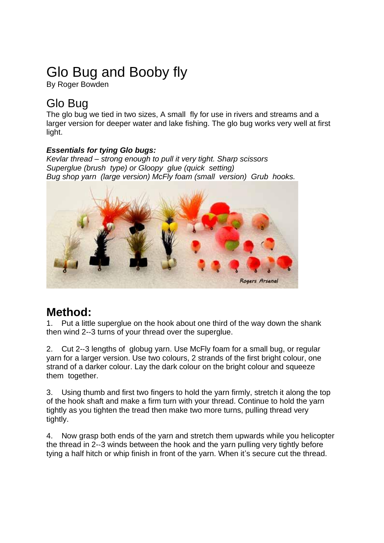# Glo Bug and Booby fly

By Roger Bowden

## Glo Bug

The glo bug we tied in two sizes, A small fly for use in rivers and streams and a larger version for deeper water and lake fishing. The glo bug works very well at first light.

### *Essentials for tying Glo bugs:*

*Kevlar thread – strong enough to pull it very tight. Sharp scissors Superglue (brush type) or Gloopy glue (quick setting) Bug shop yarn (large version) McFly foam (small version) Grub hooks.*



### **Method:**

1. Put a little superglue on the hook about one third of the way down the shank then wind 2-‐3 turns of your thread over the superglue.

2. Cut 2-‐3 lengths of globug yarn. Use McFly foam for a small bug, or regular yarn for a larger version. Use two colours, 2 strands of the first bright colour, one strand of a darker colour. Lay the dark colour on the bright colour and squeeze them together.

3. Using thumb and first two fingers to hold the yarn firmly, stretch it along the top of the hook shaft and make a firm turn with your thread. Continue to hold the yarn tightly as you tighten the tread then make two more turns, pulling thread very tightly.

4. Now grasp both ends of the yarn and stretch them upwards while you helicopter the thread in 2-‐3 winds between the hook and the yarn pulling very tightly before tying a half hitch or whip finish in front of the yarn. When it's secure cut the thread.